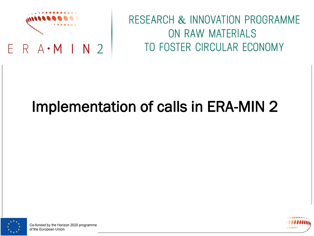

### RESEARCH & INNOVATION PROGRAMME ON RAW MATERIALS TO FOSTER CIRCULAR ECONOMY

# Implementation of calls in ERA-MIN 2



Co-funded by the Horizon 2020 programme of the European Union

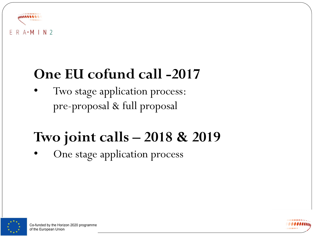

### **One EU cofund call -2017**

Two stage application process: pre-proposal & full proposal

# **Two joint calls – 2018 & 2019**

One stage application process



Co-funded by the Horizon 2020 programme of the European Union

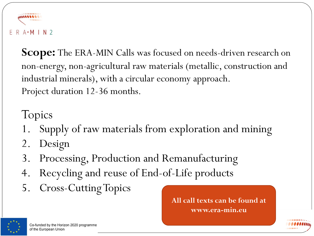

Scope: The ERA-MIN Calls was focused on needs-driven research on non-energy, non-agricultural raw materials (metallic, construction and industrial minerals), with a circular economy approach. Project duration 12-36 months.

Topics

- 1. Supply of raw materials from exploration and mining
- 2. Design
- 3. Processing, Production and Remanufacturing
- 4. Recycling and reuse of End-of-Life products
- 5. Cross-CuttingTopics

**All call texts can be found at www.era-min.eu**



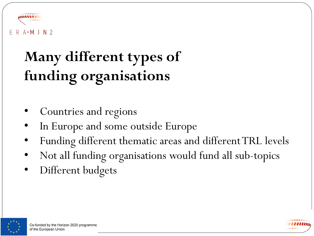

# **Many different types of funding organisations**

- Countries and regions
- In Europe and some outside Europe
- Funding different thematic areas and different TRL levels
- Not all funding organisations would fund all sub-topics
- Different budgets



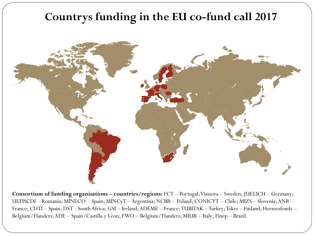### **Countrys funding in the EU co-fund call 2017**



**Consortium of funding organisations – countries/regions:** FCT – Portugal; Vinnova – Sweden; JUELICH – Germany; UEFISCDI – Romania; MINECO – Spain; MINCyT – Argentina; NCBR – Poland; CONICYT – Chile; MIZS – Slovenia; ANR – France; CDTI – Spain; DST - South Africa; GSI – Ireland; ADEME – France; TUBITAK –Turkey; Tekes – Finland; Hermesfonds – Belgium/Flanders; ADE – Spain/Castilla y Léon; FWO – Belgium/Flanders; MIUR – Italy; Finep – Brazil.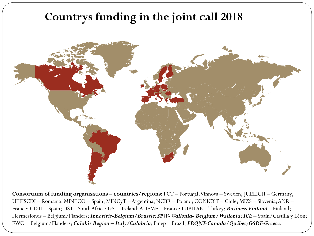### **Countrys funding in the joint call 2018**



**Consortium of funding organisations – countries/regions:** FCT – Portugal; Vinnova – Sweden; JUELICH – Germany; UEFISCDI – Romania; MINECO – Spain; MINCyT – Argentina; NCBR – Poland; CONICYT – Chile; MIZS – Slovenia; ANR – France; CDTI – Spain; DST - South Africa; GSI – Ireland; ADEME – France; TUBITAK –Turkey; *Business Finland* – Finland; Hermesfonds – Belgium/Flanders; *Innoviris-Belgium/Brussle; SPW-Wallonia- Belgium/Wallonia*; *ICE* – Spain/Castilla y Léon; FWO – Belgium/Flanders; *Calabir Region – Italy/Calabria*; Finep – Brazil; *FRQNT-Canada/Québec; GSRT-Greece*.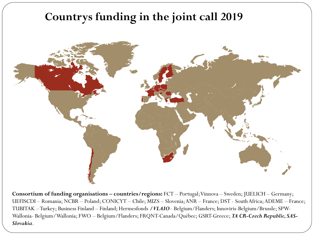### **Countrys funding in the joint call 2019**



**Consortium of funding organisations – countries/regions:** FCT – Portugal; Vinnova – Sweden; JUELICH – Germany; UEFISCDI – Romania; NCBR – Poland; CONICYT – Chile; MIZS – Slovenia; ANR – France; DST - South Africa; ADEME – France; TUBITAK –Turkey; Business Finland – Finland; Hermesfonds */VLAIO*– Belgium/Flanders; Innoviris-Belgium/Brussle; SPW-Wallonia- Belgium/Wallonia; FWO – Belgium/Flanders; FRQNT-Canada/Québec; GSRT-Greece; *TA CR-Czech Republic, SAS-Slovakia*.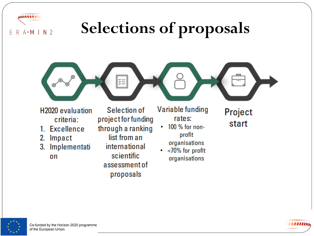



- **H2020** evaluation criteria:
- 1. Excellence
- 2. Impact

F

 $R$   $A \cdot M$  | N 2

Implementati 3. on

Selection of project for funding through a ranking list from an international scientific assessment of proposals

Variable funding rates:

- 100 % for non-٠ profit organisations
- $\cdot$  <70% for profit organisations

Project start